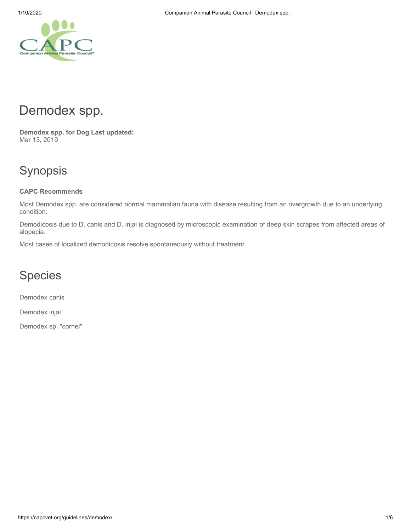# Demodex spp.

**Demodex spp. for Dog Last updated:** Mar 13, 2019

# Synopsis

### **CAPC Recommends**

Most Demodex spp. are considered normal mammalian fauna with disease resulting from an overgrowth due to an underlying condition.

Demodicosis due to D. canis and D. injai is diagnosed by microscopic examination of deep skin scrapes from affected areas of alopecia.

Most cases of localized demodicosis resolve spontaneously without treatment.

# Species

Demodex canis

Demodex injai

Demodex sp. "cornei"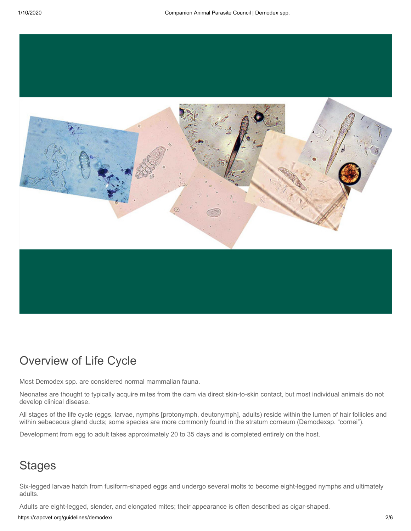

# Overview of Life Cycle

Most Demodex spp. are considered normal mammalian fauna.

Neonates are thought to typically acquire mites from the dam via direct skin-to-skin contact, but most individual animals do not develop clinical disease.

All stages of the life cycle (eggs, larvae, nymphs [protonymph, deutonymph], adults) reside within the lumen of hair follicles and within sebaceous gland ducts; some species are more commonly found in the stratum corneum (Demodexsp. "cornei").

Development from egg to adult takes approximately 20 to 35 days and is completed entirely on the host.

### **Stages**

Six-legged larvae hatch from fusiform-shaped eggs and undergo several molts to become eight-legged nymphs and ultimately adults.

Adults are eight-legged, slender, and elongated mites; their appearance is often described as cigar-shaped.

https://capcvet.org/guidelines/demodex/ 2/6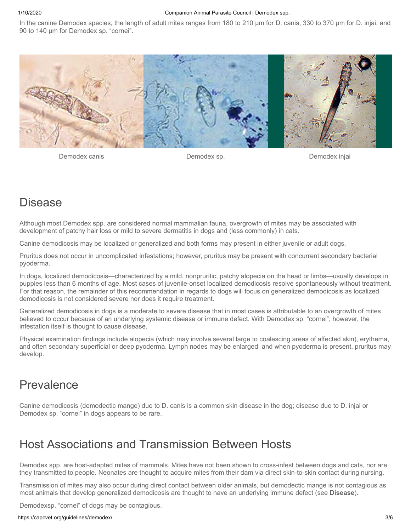#### 1/10/2020 Companion Animal Parasite Council | Demodex spp.

In the canine Demodex species, the length of adult mites ranges from 180 to 210 µm for D. canis, 330 to 370 µm for D. injai, and 90 to 140 µm for Demodex sp. "cornei".



Demodex canis Demodex sp. Demodex injai

### Disease

Although most Demodex spp. are considered normal mammalian fauna, overgrowth of mites may be associated with development of patchy hair loss or mild to severe dermatitis in dogs and (less commonly) in cats.

Canine demodicosis may be localized or generalized and both forms may present in either juvenile or adult dogs.

Pruritus does not occur in uncomplicated infestations; however, pruritus may be present with concurrent secondary bacterial pyoderma.

In dogs, localized demodicosis—characterized by a mild, nonpruritic, patchy alopecia on the head or limbs—usually develops in puppies less than 6 months of age. Most cases of juvenile-onset localized demodicosis resolve spontaneously without treatment. For that reason, the remainder of this recommendation in regards to dogs will focus on generalized demodicosis as localized demodicosis is not considered severe nor does it require treatment.

Generalized demodicosis in dogs is a moderate to severe disease that in most cases is attributable to an overgrowth of mites believed to occur because of an underlying systemic disease or immune defect. With Demodex sp. "cornei", however, the infestation itself is thought to cause disease.

Physical examination findings include alopecia (which may involve several large to coalescing areas of affected skin), erythema, and often secondary superficial or deep pyoderma. Lymph nodes may be enlarged, and when pyoderma is present, pruritus may develop.

### Prevalence

Canine demodicosis (demodectic mange) due to D. canis is a common skin disease in the dog; disease due to D. injai or Demodex sp. "cornei" in dogs appears to be rare.

### Host Associations and Transmission Between Hosts

Demodex spp. are host-adapted mites of mammals. Mites have not been shown to cross-infest between dogs and cats, nor are they transmitted to people. Neonates are thought to acquire mites from their dam via direct skin-to-skin contact during nursing.

Transmission of mites may also occur during direct contact between older animals, but demodectic mange is not contagious as most animals that develop generalized demodicosis are thought to have an underlying immune defect (see **Disease**).

Demodexsp. "cornei" of dogs may be contagious.

#### https://capcvet.org/guidelines/demodex/ 3/6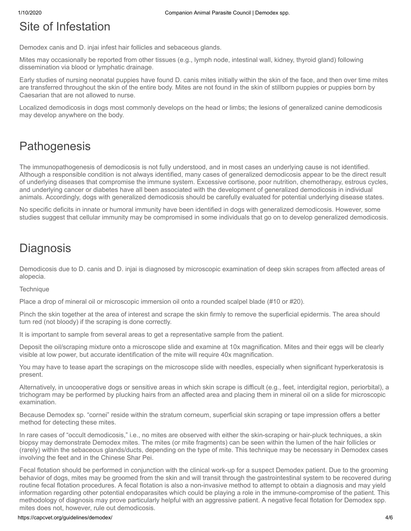# Site of Infestation

Demodex canis and D. injai infest hair follicles and sebaceous glands.

Mites may occasionally be reported from other tissues (e.g., lymph node, intestinal wall, kidney, thyroid gland) following dissemination via blood or lymphatic drainage.

Early studies of nursing neonatal puppies have found D. canis mites initially within the skin of the face, and then over time mites are transferred throughout the skin of the entire body. Mites are not found in the skin of stillborn puppies or puppies born by Caesarian that are not allowed to nurse.

Localized demodicosis in dogs most commonly develops on the head or limbs; the lesions of generalized canine demodicosis may develop anywhere on the body.

# **Pathogenesis**

The immunopathogenesis of demodicosis is not fully understood, and in most cases an underlying cause is not identified. Although a responsible condition is not always identified, many cases of generalized demodicosis appear to be the direct result of underlying diseases that compromise the immune system. Excessive cortisone, poor nutrition, chemotherapy, estrous cycles, and underlying cancer or diabetes have all been associated with the development of generalized demodicosis in individual animals. Accordingly, dogs with generalized demodicosis should be carefully evaluated for potential underlying disease states.

No specific deficits in innate or humoral immunity have been identified in dogs with generalized demodicosis. However, some studies suggest that cellular immunity may be compromised in some individuals that go on to develop generalized demodicosis.

# **Diagnosis**

Demodicosis due to D. canis and D. injai is diagnosed by microscopic examination of deep skin scrapes from affected areas of alopecia.

### **Technique**

Place a drop of mineral oil or microscopic immersion oil onto a rounded scalpel blade (#10 or #20).

Pinch the skin together at the area of interest and scrape the skin firmly to remove the superficial epidermis. The area should turn red (not bloody) if the scraping is done correctly.

It is important to sample from several areas to get a representative sample from the patient.

Deposit the oil/scraping mixture onto a microscope slide and examine at 10x magnification. Mites and their eggs will be clearly visible at low power, but accurate identification of the mite will require 40x magnification.

You may have to tease apart the scrapings on the microscope slide with needles, especially when significant hyperkeratosis is present.

Alternatively, in uncooperative dogs or sensitive areas in which skin scrape is difficult (e.g., feet, interdigital region, periorbital), a trichogram may be performed by plucking hairs from an affected area and placing them in mineral oil on a slide for microscopic examination.

Because Demodex sp. "cornei" reside within the stratum corneum, superficial skin scraping or tape impression offers a better method for detecting these mites.

In rare cases of "occult demodicosis," i.e., no mites are observed with either the skin-scraping or hair-pluck techniques, a skin biopsy may demonstrate Demodex mites. The mites (or mite fragments) can be seen within the lumen of the hair follicles or (rarely) within the sebaceous glands/ducts, depending on the type of mite. This technique may be necessary in Demodex cases involving the feet and in the Chinese Shar Pei.

Fecal flotation should be performed in conjunction with the clinical work-up for a suspect Demodex patient. Due to the grooming behavior of dogs, mites may be groomed from the skin and will transit through the gastrointestinal system to be recovered during routine fecal flotation procedures. A fecal flotation is also a non-invasive method to attempt to obtain a diagnosis and may yield information regarding other potential endoparasites which could be playing a role in the immune-compromise of the patient. This methodology of diagnosis may prove particularly helpful with an aggressive patient. A negative fecal flotation for Demodex spp. mites does not, however, rule out demodicosis.

#### https://capcvet.org/guidelines/demodex/ 4/6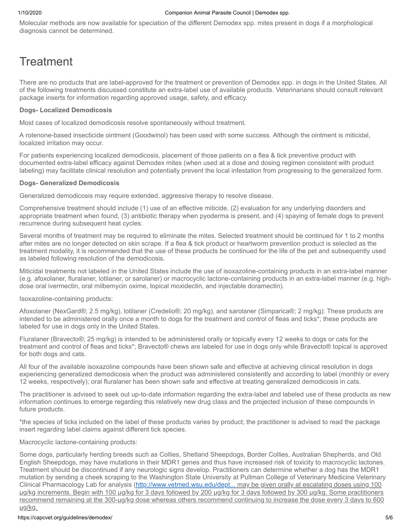Molecular methods are now available for speciation of the different Demodex spp. mites present in dogs if a morphological diagnosis cannot be determined.

# **Treatment**

There are no products that are label-approved for the treatment or prevention of Demodex spp. in dogs in the United States. All of the following treatments discussed constitute an extra-label use of available products. Veterinarians should consult relevant package inserts for information regarding approved usage, safety, and efficacy.

#### **Dogs- Localized Demodicosis**

Most cases of localized demodicosis resolve spontaneously without treatment.

A rotenone-based insecticide ointment (Goodwinol) has been used with some success. Although the ointment is miticidal, localized irritation may occur.

For patients experiencing localized demodicosis, placement of those patients on a flea & tick preventive product with documented extra-label efficacy against Demodex mites (when used at a dose and dosing regimen consistent with product labeling) may facilitate clinical resolution and potentially prevent the local infestation from progressing to the generalized form.

#### **Dogs- Generalized Demodicosis**

Generalized demodicosis may require extended, aggressive therapy to resolve disease.

Comprehensive treatment should include (1) use of an effective miticide, (2) evaluation for any underlying disorders and appropriate treatment when found, (3) antibiotic therapy when pyoderma is present, and (4) spaying of female dogs to prevent recurrence during subsequent heat cycles.

Several months of treatment may be required to eliminate the mites. Selected treatment should be continued for 1 to 2 months after mites are no longer detected on skin scrape. If a flea & tick product or heartworm prevention product is selected as the treatment modality, it is recommended that the use of these products be continued for the life of the pet and subsequently used as labeled following resolution of the demodicosis.

Miticidal treatments not labeled in the United States include the use of isoxazoline-containing products in an extra-label manner (e.g. afoxolaner, fluralaner, lotilaner, or sarolaner) or macrocyclic lactone-containing products in an extra-label manner (e.g. highdose oral ivermectin, oral milbemycin oxime, topical moxidectin, and injectable doramectin).

Isoxazoline-containing products:

Afoxolaner (NexGard®; 2.5 mg/kg), lotilaner (Credelio®; 20 mg/kg), and sarolaner (Simparica®; 2 mg/kg): These products are intended to be administered orally once a month to dogs for the treatment and control of fleas and ticks\*; these products are labeled for use in dogs only in the United States.

Fluralaner (Bravecto®; 25 mg/kg) is intended to be administered orally or topically every 12 weeks to dogs or cats for the treatment and control of fleas and ticks\*; Bravecto® chews are labeled for use in dogs only while Bravecto® topical is approved for both dogs and cats.

All four of the available isoxazoline compounds have been shown safe and effective at achieving clinical resolution in dogs experiencing generalized demodicosis when the product was administered consistently and according to label (monthly or every 12 weeks, respectively); oral fluralaner has been shown safe and effective at treating generalized demodicosis in cats.

The practitioner is advised to seek out up-to-date information regarding the extra-label and labeled use of these products as new information continues to emerge regarding this relatively new drug class and the projected inclusion of these compounds in future products.

\*the species of ticks included on the label of these products varies by product; the practitioner is advised to read the package insert regarding label claims against different tick species.

#### Macrocyclic lactone-containing products:

Some dogs, particularly herding breeds such as Collies, Shetland Sheepdogs, Border Collies, Australian Shepherds, and Old English Sheepdogs, may have mutations in their MDR1 genes and thus have increased risk of toxicity to macrocyclic lactones. Treatment should be discontinued if any neurologic signs develop. Practitioners can determine whether a dog has the MDR1 mutation by sending a cheek scraping to the Washington State University at Pullman College of Veterinary Medicine Veterinary Clinical Pharmacology Lab for analysis [\(http://www.vetmed.wsu.edu/dept...](http://www.vetmed.wsu.edu/depts-VCPL/test.aspx) may be given orally at escalating doses using 100 µg/kg increments. Begin with 100 µg/kg for 3 days followed by 200 µg/kg for 3 days followed by 300 µg/kg. Some practitioners recommend remaining at the 300-µg/kg dose whereas others recommend continuing to increase the dose every 3 days to 600 µg/kg.